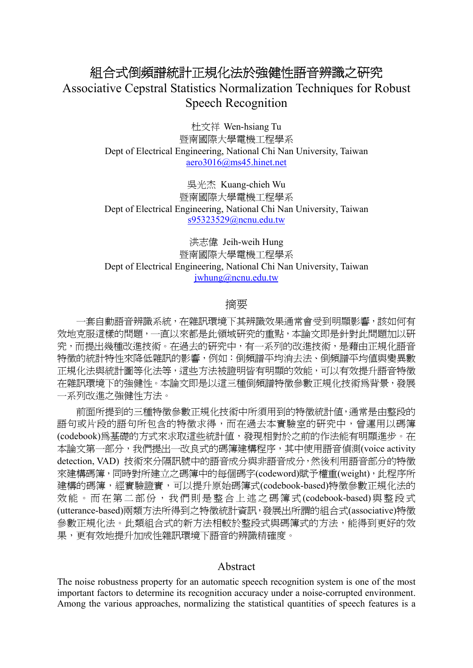# 組合式倒頻譜統計正規化法於強健性語音辨識之研究 Associative Cepstral Statistics Normalization Techniques for Robust Speech Recognition

杜文祥 Wen-hsiang Tu 暨南國際大學電機工程學系 Dept of Electrical Engineering, National Chi Nan University, Taiwan aero3016@ms45.hinet.net

吳光杰 Kuang-chieh Wu 暨南國際大學電機工程學系 Dept of Electrical Engineering, National Chi Nan University, Taiwan s95323529@ncnu.edu.tw

洪志偉 Jeih-weih Hung 暨南國際大學電機工程學系 Dept of Electrical Engineering, National Chi Nan University, Taiwan jwhung@ncnu.edu.tw

# 摘要

一套自動語音辨識系統,在雜訊環境下其辨識效果通常會受到明顯影響,該如何有 效地克服這樣的問題,一直以來都是此領域研究的重點,本論文即是針對此問題加以研 究,而提出幾種改進技術。在過去的研究中,有一系列的改進技術,是藉由正規化語音 特徵的統計特性來降低雜訊的影響,例如:倒頻譜平均消去法、倒頻譜平均值與變異數 正規化法與統計圖等化法等,這些方法被證明皆有明顯的效能,可以有效提升語音特徵 在雜訊環境下的強健性。本論文即是以這三種倒頻譜特徵參數正規化技術為背景,發展 一系列改進之強健性方法。

前面所提到的三種特徵參數正規化技術中所須用到的特徵統計值,通常是由整段的 語句或片段的語句所包含的特徵求得,而在過去本實驗室的研究中,曾運用以碼簿 (codebook)為基礎的方式來求取這些統計值,發現相對於之前的作法能有明顯進步。在 本論文第一部分,我們提出一改良式的碼簿建構程序,其中使用語音偵測(voice activity detection, VAD) 技術來分隔訊號中的語音成分與非語音成分,然後利用語音部分的特徵 來建構碼簿,同時對所建立之碼簿中的每個碼字(codeword)賦予權重(weight),此程序所 建構的碼簿,經實驗證實,可以提升原始碼簿式(codebook-based)特徵參數正規化法的 效能。而在第二部份,我們則是整合上述之碼簿式 (codebook-based)與整段式 (utterance-based)兩類方法所得到之特徵統計資訊,發展出所謂的組合式(associative)特徵 參數正規化法。此類組合式的新方法相較於整段式與碼簿式的方法,能得到更好的效 果,更有效地提升加成性雜訊環境下語音的辨識精確度。

### Abstract

The noise robustness property for an automatic speech recognition system is one of the most important factors to determine its recognition accuracy under a noise-corrupted environment. Among the various approaches, normalizing the statistical quantities of speech features is a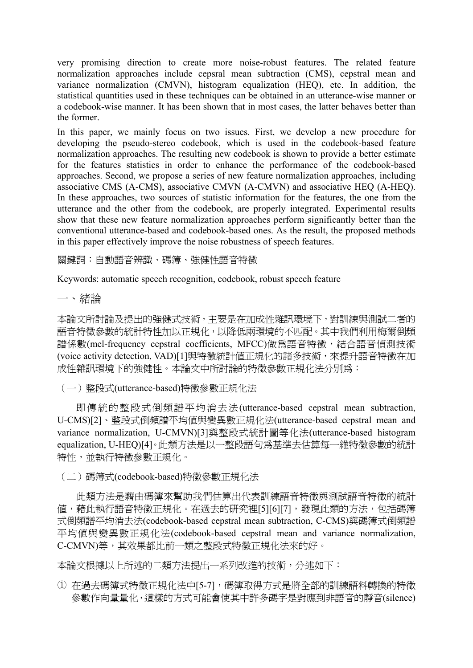very promising direction to create more noise-robust features. The related feature normalization approaches include cepsral mean subtraction (CMS), cepstral mean and variance normalization (CMVN), histogram equalization (HEQ), etc. In addition, the statistical quantities used in these techniques can be obtained in an utterance-wise manner or a codebook-wise manner. It has been shown that in most cases, the latter behaves better than the former.

In this paper, we mainly focus on two issues. First, we develop a new procedure for developing the pseudo-stereo codebook, which is used in the codebook-based feature normalization approaches. The resulting new codebook is shown to provide a better estimate for the features statistics in order to enhance the performance of the codebook-based approaches. Second, we propose a series of new feature normalization approaches, including associative CMS (A-CMS), associative CMVN (A-CMVN) and associative HEQ (A-HEQ). In these approaches, two sources of statistic information for the features, the one from the utterance and the other from the codebook, are properly integrated. Experimental results show that these new feature normalization approaches perform significantly better than the conventional utterance-based and codebook-based ones. As the result, the proposed methods in this paper effectively improve the noise robustness of speech features.

關鍵詞:自動語音辨識、碼簿、強健性語音特徵

Keywords: automatic speech recognition, codebook, robust speech feature

一、緒論

本論文所討論及提出的強健式技術,主要是在加成性雜訊環境下,對訓練與測試二者的 語音特徵參數的統計特性加以正規化,以降低兩環境的不匹配。其中我們利用梅爾倒頻 譜係數(mel-frequency cepstral coefficients, MFCC)做為語音特徵,結合語音偵測技術 (voice activity detection, VAD)[1]與特徵統計值正規化的諸多技術,來提升語音特徵在加 成性雜訊環境下的強健性。本論文中所討論的特徵參數正規化法分別為:

(一)整段式(utterance-based)特徵參數正規化法

 即傳統的整段式倒頻譜平均消去法(utterance-based cepstral mean subtraction, U-CMS)[2]、整段式倒頻譜平均值與變異數正規化法(utterance-based cepstral mean and variance normalization, U-CMVN)[3]與整段式統計圖等化法(utterance-based histogram equalization, U-HEQ)[4]。此類方法是以一整段語句為基準去估算每一維特徵參數的統計 特性,並執行特徵參數正規化。

(二)碼簿式(codebook-based)特徵參數正規化法

 此類方法是藉由碼簿來幫助我們估算出代表訓練語音特徵與測試語音特徵的統計 值,藉此執行語音特徵正規化。在過去的研究裡[5][6][7],發現此類的方法,包括碼簿 式倒頻譜平均消去法(codebook-based cepstral mean subtraction, C-CMS)與碼簿式倒頻譜 平均值與變異數正規化法(codebook-based cepstral mean and variance normalization, C-CMVN)等,其效果都比前一類之整段式特徵正規化法來的好。

本論文根據以上所述的二類方法提出一系列改進的技術,分述如下:

① 在過去碼簿式特徵正規化法中[5-7],碼簿取得方式是將全部的訓練語料轉換的特徵 參數作向量量化,這樣的方式可能會使其中許多碼字是對應到非語音的靜音(silence)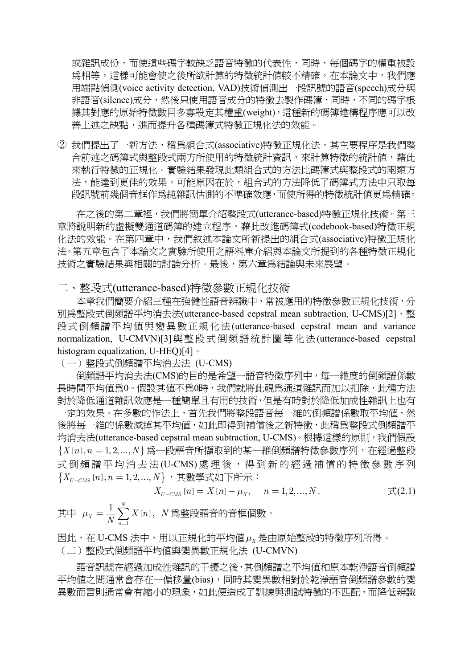或雜訊成份,而使這些碼字較缺乏語音特徵的代表性,同時,每個碼字的權重被設 為相等,這樣可能會使之後所欲計算的特徵統計值較不精確。在本論文中,我們應 用端點偵測(voice activity detection, VAD)技術偵測出一段訊號的語音(speech)成分與 非語音(silence)成分,然後只使用語音成分的特徵去製作碼簿,同時,不同的碼字根 據其對應的原始特徵數目多寡設定其權重(weight),這種新的碼簿建構程序應可以改 善上述之缺點,進而提升各種碼簿式特徵正規化法的效能。

② 我們提出了一新方法,稱為組合式(associative)特徵正規化法,其主要程序是我們整 合前述之碼簿式與整段式兩方所使用的特徵統計資訊,來計算特徵的統計值,藉此 來執行特徵的正規化。實驗結果發現此類組合式的方法比碼簿式與整段式的兩類方 法,能達到更佳的效果。可能原因在於,組合式的方法降低了碼簿式方法中只取每 段訊號前幾個音框作為純雜訊估測的不準確效應,而使所得的特徵統計值更為精確。

 在之後的第二章裡,我們將簡單介紹整段式(utterance-based)特徵正規化技術。第三 章將說明新的虛擬雙通道碼簿的建立程序,藉此改進碼簿式(codebook-based)特徵正規 化法的效能。在第四章中,我們敘述本論文所新提出的組合式(associative)特徵正規化 法。第五章包含了本論文之實驗所使用之語料庫介紹與本論文所提到的各種特徵正規化 技術之實驗結果與相關的討論分析。最後,第六章為結論與未來展望。

二、整段式(utterance-based)特徵參數正規化技術

 本章我們簡要介紹三種在強健性語音辨識中,常被應用的特徵參數正規化技術,分 別為整段式倒頻譜平均消去法(utterance-based cepstral mean subtraction, U-CMS)[2]、整 段式倒頻譜平均值與變異數正規化法(utterance-based cepstral mean and variance normalization, U-CMVN)[3]與整段式倒頻譜統計圖等化法(utterance-based cepstral histogram equalization, U-HEQ)[4]。

(一)整段式倒頻譜平均消去法 (U-CMS)

倒頻譜平均消去法(CMS)的目的是希望一語音特徵序列中,每一維度的倒頻譜係數 長時間平均値爲0。假設其値不爲0時,我們就將此視爲通道雜訊而加以扣除,此種方法 對於降低通道雜訊效應是一種簡單且有用的技術,但是有時對於降低加成性雜訊上也有 一定的效果。在多數的作法上,首先我們將整段語音每一維的倒頻譜係數取平均值,然 後將每一維的係數減掉其平均值,如此即得到補償後之新特徵,此稱為整段式倒頻譜平 均消去法(utterance-based cepstral mean subtraction, U-CMS)。根據這樣的原則,我們假設  ${X[n], n = 1, 2, ..., N}$ 為一段語音所擷取到的某一維倒頻譜特徵參數序列,在經過整段 式倒頻譜平均消去法(U-CMS) 處理後,得到新的經過補償的特徵參數序列  ${X_{U-CMS}[n], n = 1,2,...,N}$ , 其數學式如下所示:

$$
X_{U-CMS}[n] = X[n] - \mu_X, \quad n = 1, 2, ..., N.
$$

其中  $\mu_X = \frac{1}{N} \sum_{i=1}^{N} X[n]$ 1  $1 \sqrt{N}$ *X n*  $\mu_{\scriptscriptstyle X} = \frac{1}{N} \sum_{\scriptscriptstyle n=1} X\left[n\right], \,\, N$ 爲整段語音的音框個數。

因此,在 U-CMS 法中,用以正規化的平均值*μ<sup>X</sup>* 是由原始整段的特徵序列所得。

(二)整段式倒頻譜平均值與變異數正規化法 (U-CMVN)

 語音訊號在經過加成性雜訊的干擾之後,其倒頻譜之平均值和原本乾淨語音倒頻譜 平均值之間通常會存在一偏移量(bias),同時其變異數相對於乾淨語音倒頻譜參數的變 異數而言則通常會有縮小的現象,如此便造成了訓練與測試特徵的不匹配,而降低辨識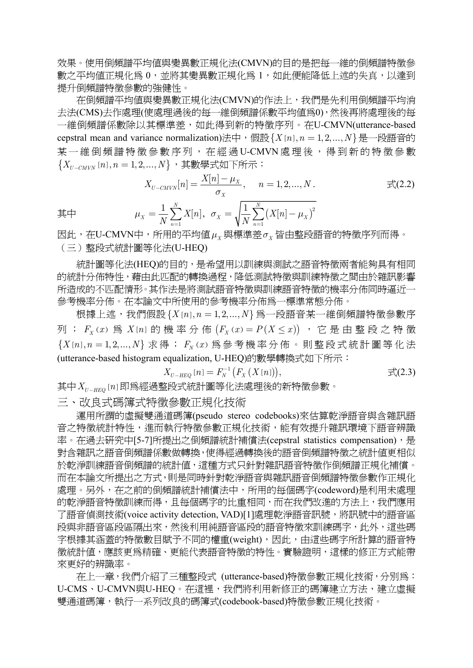效果。使用倒頻譜平均值與變異數正規化法(CMVN)的目的是把每一維的倒頻譜特徵參 數之平均值正規化為 0,並將其變異數正規化為 1,如此便能降低上述的失真,以達到 提升倒頻譜特徵參數的強健性。

 在倒頻譜平均值與變異數正規化法(CMVN)的作法上,我們是先利用倒頻譜平均消 去法(CMS)去作處理(使處理過後的每一維倒頻譜係數平均值為0),然後再將處理後的每 一維倒頻譜係數除以其標準差,如此得到新的特徵序列。在U-CMVN(utterance-based cepstral mean and variance normalization)法中,假設 $\{X[n], n = 1, 2, ..., N\}$ 是一段語音的 某一維倒頻譜特徵參數序列,在經過U-CMVN處理後,得到新的特徵參數  ${X_{U-CMVN}}[n], n = 1, 2, ..., N$ , 其數學式如下所示:

$$
X_{U-CMVN}[n] = \frac{X[n] - \mu_X}{\sigma_X}, \quad n = 1, 2, ..., N.
$$
  

$$
\nexists \Box \mu_X = \frac{1}{N} \sum_{n=1}^N X[n], \quad \sigma_X = \sqrt{\frac{1}{N} \sum_{n=1}^N (X[n] - \mu_X)^2}
$$

其中

因此,在U-CMVN中,所用的平均值*μ<sup>X</sup>* 與標準差*σ<sup>X</sup>* 皆由整段語音的特徵序列而得。 (三)整段式統計圖等化法(U-HEQ)

*n*

統計圖等化法(HEQ)的目的,是希望用以訓練與測試之語音特徵兩者能夠具有相同 的統計分佈特性,藉由此匹配的轉換過程,降低測試特徵與訓練特徵之間由於雜訊影響 所造成的不匹配情形。其作法是將測試語音特徵與訓練語音特徵的機率分佈同時逼近一 參考機率分佈。在本論文中所使用的參考機率分佈為一標準常態分佈。

根據上述,我們假設 $\{X[n], n = 1, 2, \ldots, N\}$ 為一段語音某一維倒頻譜特徵參數序 列;  $F_x(x)$ 為  $X[n]$ 的機率分佈  $(F_x(x) = P(X \leq x))$ , 它是由整段之特徵  ${X[n], n = 1, 2, ..., N}$  求得;  $F_{N}(x)$  為參考機率分佈。則整段式統計圖等化法 (utterance-based histogram equalization, U-HEQ)的數學轉換式如下所示:

$$
X_{U-HEQ}[n] = F_N^{-1}\big(F_X\left(X[n]\right)\big), \tag{2.3}
$$

其中 X<sub>II-HFQ</sub> [n] 即為經過整段式統計圖等化法處理後的新特徵參數。

1

*n*

三、改良式碼簿式特徵參數正規化技術

 運用所謂的虛擬雙通道碼簿(pseudo stereo codebooks)來估算乾淨語音與含雜訊語 音之特徵統計特性,進而執行特徵參數正規化技術,能有效提升雜訊環境下語音辨識 率。在過去研究中[5-7]所提出之倒頻譜統計補償法(cepstral statistics compensation), 是 對含雜訊之語音倒頻譜係數做轉換,使得經過轉換後的語音倒頻譜特徵之統計值更相似 於乾淨訓練語音倒頻譜的統計值,這種方式只針對雜訊語音特徵作倒頻譜正規化補償。 而在本論文所提出之方式,則是同時針對乾淨語音與雜訊語音倒頻譜特徵參數作正規化 處理。另外,在之前的倒頻譜統計補償法中,所用的每個碼字(codeword)是利用未處理 的乾淨語音特徵訓練而得,且每個碼字的比重相同,而在我們改進的方法上,我們應用 了語音偵測技術(voice activity detection, VAD)[1]處理乾淨語音訊號,將訊號中的語音區 段與非語音區段區隔出來,然後利用純語音區段的語音特徵來訓練碼字,此外,這些碼 字根據其涵蓋的特徵數目賦予不同的權重(weight),因此,由這些碼字所計算的語音特 徵統計值,應該更為精確、更能代表語音特徵的特性。實驗證明,這樣的修正方式能帶 來更好的辨識率。

 在上一章,我們介紹了三種整段式 (utterance-based)特徵參數正規化技術,分別為: U-CMS、U-CMVN與U-HEQ。在這裡,我們將利用新修正的碼簿建立方法,建立虛擬 雙通道碼簿,執行一系列改良的碼簿式(codebook-based)特徵參數正規化技術。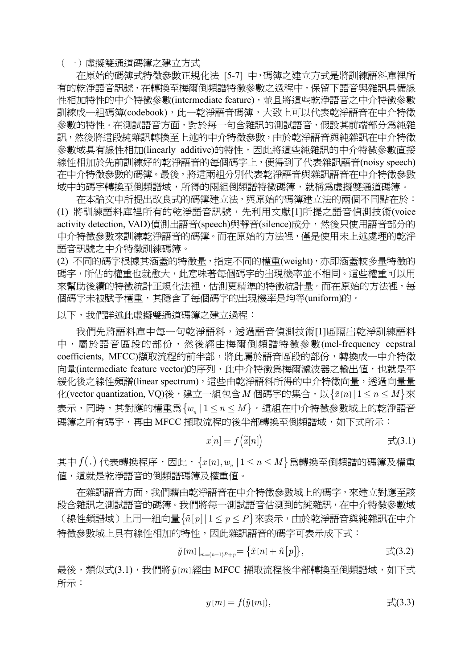(一) 虛擬雙通道碼簿之建立方式

 在原始的碼簿式特徵參數正規化法 [5-7] 中,碼簿之建立方式是將訓練語料庫裡所 有的乾淨語音訊號,在轉換至梅爾倒頻譜特徵參數之過程中,保留下語音與雜訊具備線 性相加特性的中介特徵參數(intermediate feature),並且將這些乾淨語音之中介特徵參數 訓練成一組碼簿(codebook),此一乾淨語音碼簿,大致上可以代表乾淨語音在中介特徵 參數的特性。在測試語音方面,對於每一句含雜訊的測試語音,假設其前端部分為純雜 訊,然後將這段純雜訊轉換至上述的中介特徵參數,由於乾淨語音與純雜訊在中介特徵 參數域具有線性相加(linearly additive)的特性,因此將這些純雜訊的中介特徵參數直接 線性相加於先前訓練好的乾淨語音的每個碼字上,便得到了代表雜訊語音(noisy speech) 在中介特徵參數的碼簿。最後,將這兩組分別代表乾淨語音與雜訊語音在中介特徵參數 域中的碼字轉換至倒頻譜域,所得的兩組倒頻譜特徵碼簿,就稱為虛擬雙通道碼簿。

 在本論文中所提出改良式的碼簿建立法,與原始的碼簿建立法的兩個不同點在於: (1) 將訓練語料庫裡所有的乾淨語音訊號,先利用文獻[1]所提之語音偵測技術(voice activity detection, VAD)偵測出語音(speech)與靜音(silence)成分,然後只使用語音部分的 中介特徵參數來訓練乾淨語音的碼簿。而在原始的方法裡,僅是使用未上述處理的乾淨 語音訊號之中介特徵訓練碼簿。

(2) 不同的碼字根據其涵蓋的特徵量,指定不同的權重(weight),亦即涵蓋較多量特徵的 碼字,所佔的權重也就愈大,此意味著每個碼字的出現機率並不相同。這些權重可以用 來幫助後續的特徵統計正規化法裡,估測更精準的特徵統計量。而在原始的方法裡,每 個碼字未被賦予權重,其隱含了每個碼字的出現機率是均等(uniform)的。

以下,我們詳述此虛擬雙通道碼簿之建立過程:

我們先將語料庫中每一句乾淨語料,透過語音偵測技術[1]區隔出乾淨訓練語料 中,屬於語音區段的部份,然後經由梅爾倒頻譜特徵參數(mel-frequency cepstral coefficients, MFCC)擷取流程的前半部,將此屬於語音區段的部份,轉換成一中介特徵 向量(intermediate feature vector)的序列,此中介特徵為梅爾濾波器之輸出值,也就是平 緩化後之線性頻譜(linear spectrum),這些由乾淨語料所得的中介特徵向量,透過向量量 化(vector quantization, VQ)後, 建立一組包含 *M* 個碼字的集合, 以 { $\tilde{x}[n]$  | 1 ≤  $n \leq M$  } 來  $\exists \overline{K}$ , 同時, 其對應的權重爲  $\{ w_n \mid 1 \leq n \leq M \}$ 。這組在中介特徵參數域上的乾淨語音 碼簿之所有碼字,再由 MFCC 擷取流程的後半部轉換至倒頻譜域,如下式所示:

$$
x[n] = f\left(\tilde{x}[n]\right) \qquad \qquad \mathbb{R}(3.1)
$$

其中  $f(.)$  代表轉換程序, 因此,  ${x_{n}, u_n | 1 \le n \le M}$ 為轉換至倒頻譜的碼簿及權重 值,這就是乾淨語音的倒頻譜碼簿及權重值。

 在雜訊語音方面,我們藉由乾淨語音在中介特徵參數域上的碼字,來建立對應至該 段含雜訊之測試語音的碼簿。我們將每一測試語音估測到的純雜訊,在中介特徵參數域  $($ 線性頻譜域)上用一組向量 $\{\hat{n}[p] | 1 \leq p \leq P\}$ 來表示,由於乾淨語音與純雜訊在中介 特徵參數域上具有線性相加的特性,因此雜訊語音的碼字可表示成下式:

$$
\tilde{y}[m] \big|_{m=(n-1)P+p} = \left\{ \tilde{x}[n] + \tilde{n}[p] \right\}, \qquad \qquad \mathbb{R}(3.2)
$$

最後,類似式(3.1),我們將*y m*[ ]經由 MFCC 擷取流程後半部轉換至倒頻譜域,如下式 所示:

$$
y[m] = f(\tilde{y}[m]), \qquad \qquad \mathbb{R}(3.3)
$$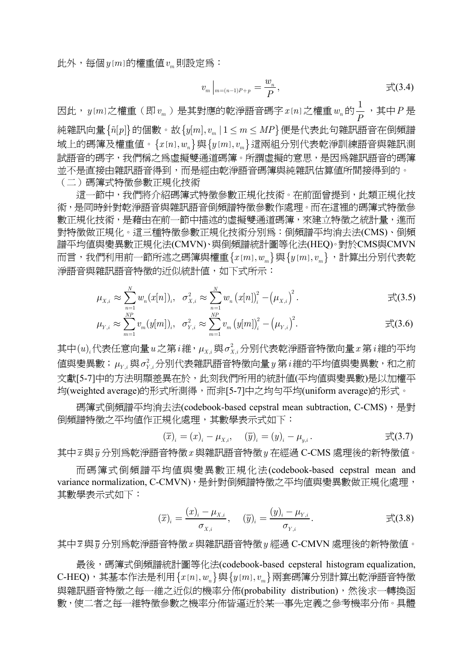此外,每個 $y[m]$ 的權重值 $v_m$ 則設定為:

$$
v_m\big|_{m=(n-1)P+p}=\frac{w_n}{P},\qquad \qquad \overline{\pm}(3.4)
$$

因此, $y$ [m]之權重(即 $v_{_m}$ )是其對應的乾淨語音碼字 $x$ [n]之權重 $w_{_n}$ 的 $\frac{1}{P}$ ,其中 $P$ 是 純雜訊向量 $\{\tilde{n}[p]\}$ 的個數。故 $\{y[m], v_m | 1 \leq m \leq MP\}$ 便是代表此句雜訊語音在倒頻譜 域上的碼簿及權重值。{ } [ ], *<sup>n</sup> xn w* 與{ } [ ], *<sup>m</sup> ym v* 這兩組分別代表乾淨訓練語音與雜訊測 試語音的碼字,我們稱之為虛擬雙通道碼簿。所謂虛擬的意思,是因為雜訊語音的碼簿 並不是直接由雜訊語音得到,而是經由乾淨語音碼簿與純雜訊估算值所間接得到的。 (二)碼簿式特徵參數正規化技術

這一節中,我們將介紹碼簿式特徵參數正規化技術。在前面曾提到,此類正規化技 術,是同時針對乾淨語音與雜訊語音倒頻譜特徵參數作處理。而在這裡的碼簿式特徵參 數正規化技術,是藉由在前一節中描述的虛擬雙通道碼簿,來建立特徵之統計量,進而 對特徵做正規化。這三種特徵參數正規化技術分別為:倒頻譜平均消去法(CMS)、倒頻 譜平均值與變異數正規化法(CMVN)、與倒頻譜統計圖等化法(HEQ)。對於CMS與CMVN 而言,我們利用前一節所述之碼簿與權重{ } [ ], *<sup>m</sup> xm w* 與{ } [ ], *<sup>m</sup> ym v* ,計算出分別代表乾 淨語音與雜訊語音特徵的近似統計值,如下式所示:

$$
\mu_{X,i} \approx \sum_{n=1}^{N} w_n (x[n]), \quad \sigma_{X,i}^2 \approx \sum_{n=1}^{N} w_n (x[n])_i^2 - (\mu_{X,i})^2.
$$

$$
\mu_{Y,i} \approx \sum_{m=1}^{NP} v_m(y[m]), \quad \sigma_{Y,i}^2 \approx \sum_{m=1}^{NP} v_m(y[m])_i^2 - (\mu_{Y,i})^2.
$$

其中 $(u)$ ,代表任意向量 $u$ 之第 $i$ 維, $\mu_{X,i}$ 與 $\sigma_{X,i}^2$ 分別代表乾淨語音特徵向量 $x$ 第 $i$ 維的平均  $\frac{d}{dt}$ 健果數; $\mu_{Y,i}$ 與 $\sigma_{Y,i}^2$ 分別代表雜訊語音特徵向量 $y$ 第 $\,i$ 維的平均値與變異數,和之前 文獻[5-7]中的方法明顯差異在於,此刻我們所用的統計值(平均值與變異數)是以加權平 均(weighted average)的形式所測得,而非[5-7]中之均勻平均(uniform average)的形式。

碼簿式倒頻譜平均消去法(codebook-based cepstral mean subtraction, C-CMS), 是對 倒頻譜特徵之平均值作正規化處理,其數學表示式如下:

$$
(\overline{x})_i = (x)_i - \mu_{X,i}, \quad (\overline{y})_i = (y)_i - \mu_{y,i}. \qquad \qquad \overline{\mathbb{F}}(3.7)
$$

其中*x* 與*y* 分別為乾淨語音特徵*x* 與雜訊語音特徵*y* 在經過 C-CMS 處理後的新特徵值。

 而碼簿式倒頻譜平均值與變異數正規化法(codebook-based cepstral mean and variance normalization, C-CMVN), 是針對倒頻譜特徵之平均值與變異數做正規化處理, 其數學表示式如下:

$$
(\overline{x})_i = \frac{(x)_i - \mu_{X,i}}{\sigma_{X,i}}, \quad (\overline{y})_i = \frac{(y)_i - \mu_{Y,i}}{\sigma_{Y,i}}.
$$

其中*x* 與*y* 分別為乾淨語音特徵*x* 與雜訊語音特徵*y* 經過 C-CMVN 處理後的新特徵值。

最後,碼簿式倒頻譜統計圖等化法(codebook-based cepsteral histogram equalization, C-HEQ), 其基本作法是利用 {  $x[n], w_n$  } 與 {  $y[m], v_m$  } 兩套碼簿分別計算出乾淨語音特徵 與雜訊語音特徵之每一維之近似的機率分佈(probability distribution),然後求一轉換函 數,使二者之每一維特徵參數之機率分佈皆逼近於某一事先定義之參考機率分佈。具體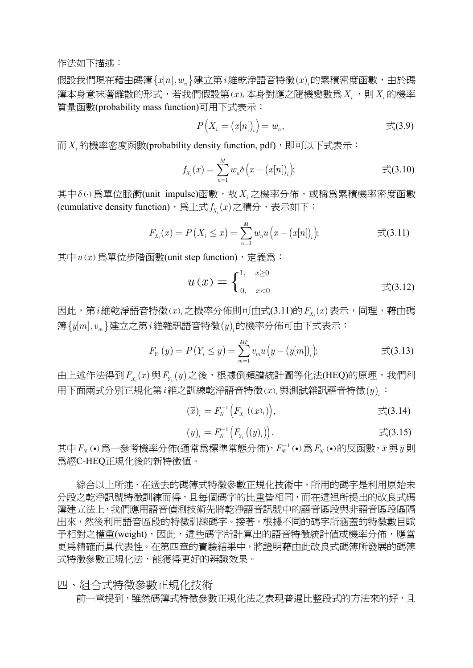作法如下描述:

 $\mathcal{L}(\mathbb{R}) = \mathbb{R}^d$  ,  $\mathbb{R}^d$  ,  $\mathbb{R}^d$  and  $\mathbb{R}^d$  and  $\mathbb{R}^d$  is a state  $\mathbb{R}^d$  is  $\mathbb{R}^d$  is  $\mathbb{R}^d$  is  $\mathbb{R}^d$  is a state  $\mathbb{R}^d$  is a state  $\mathbb{R}^d$  is a state  $\mathbb{R}^d$  is a state 簿本身意味著離散的形式,若我們假設第( ) *x <sup>i</sup>* 本身對應之隨機變數為*Xi* ,則*Xi* 的機率 質量函數(probability mass function)可用下式表示:

$$
P(X_i = (x[n])_i) = w_n, \qquad \qquad \mathbb{R}(3.9)
$$

而*Xi* 的機率密度函數(probability density function, pdf),即可以下式表示:

$$
f_{X_i}(x) = \sum_{n=1}^{M} w_n \delta\left(x - (x[n])_i\right); \qquad \qquad \overline{\mathfrak{X}}(3.10)
$$

其中δω為單位脈衝(unit impulse)函數,故*X*;之機率分佈,或稱為累積機率密度函數 (cumulative density function),為上式  $f_X(x)$ 之積分,表示如下:

$$
F_{X_i}(x) = P(X_i \le x) = \sum_{n=1}^{M} w_n u(x - (x[n])_i); \qquad \qquad \text{if } (3.11)
$$

其中 $u(x)$ 為單位步階函數(unit step function), 定義為:

$$
u(x) = \begin{cases} 1, & x \ge 0 \\ 0, & x < 0 \end{cases} \qquad \qquad \qquad \pm (3.12)
$$

因此,第*i*維乾淨語音特徵(x)<sub>i</sub>之機率分佈則可由式(3.11)的  $F_x(x)$ 表示,同理,藉由碼 簿{ } [ ], *<sup>m</sup> ym v* 建立之第*i* 維雜訊語音特徵( )*<sup>i</sup> y* 的機率分佈可由下式表示:

$$
F_{Y_i}(y) = P(Y_i \le y) = \sum_{m=1}^{MP} v_m u(y - (y[m])_i); \qquad \qquad \exists \zeta(3.13)
$$

 $\Delta E$  由上述作法得到  $F_{X}(x)$  與  $F_{Y}(y)$  之後, 根據倒頻譜統計圖等化法(HEQ)的原理, 我們利 用下面兩式分別正規化第*i* 維之訓練乾淨語音特徵( ) *x <sup>i</sup>* 與測試雜訊語音特徵( )*<sup>i</sup> y* :

$$
(\overline{x})_i = F_N^{-1}\left(F_{X_i}\left((x)_i\right)\right), \qquad \qquad \overrightarrow{\mathfrak{X}}(3.14)
$$

$$
(\overline{y})_i = F_N^{-1}\big(F_{Y_i}\big((y)_i\big)\big).
$$

其中 $F_N$  (•)為一參考機率分佈(通常爲標準常態分佈), $F_N^{-1}$  (•)為 $F_N$  (•)的反函數, $\overline{x}$ 與 $\overline{y}$ 則 為經C-HEQ正規化後的新特徵值。

 綜合以上所述,在過去的碼簿式特徵參數正規化技術中,所用的碼字是利用原始未 分段之乾淨訊號特徵訓練而得,且每個碼字的比重皆相同,而在這裡所提出的改良式碼 簿建立法上,我們應用語音偵測技術先將乾淨語音訊號中的語音區段與非語音區段區隔 出來,然後利用語音區段的特徵訓練碼字。接著,根據不同的碼字所涵蓋的特徵數目賦 予相對之權重(weight),因此,這些碼字所計算出的語音特徵統計值或機率分佈,應當 更為精確而具代表性。在第四章的實驗結果中,將證明藉由此改良式碼簿所發展的碼簿 式特徵參數正規化法,能獲得更好的辨識效果。

四、組合式特徵參數正規化技術

前一章提到,雖然碼簿式特徵參數正規化法之表現普遍比整段式的方法來的好,且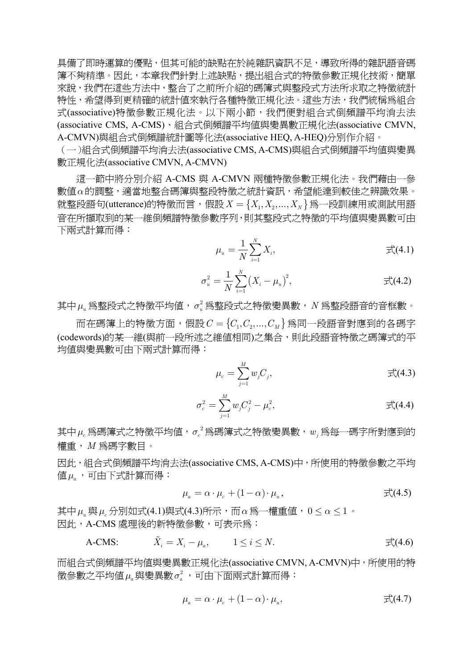具備了即時運算的優點,但其可能的缺點在於純雜訊資訊不足,導致所得的雜訊語音碼 簿不夠精準。因此,本章我們針對上述缺點,提出組合式的特徵參數正規化技術,簡單 來說,我們在這些方法中,整合了之前所介紹的碼簿式與整段式方法所求取之特徵統計 特性,希望得到更精確的統計值來執行各種特徵正規化法。這些方法,我們統稱為組合 式(associative)特徵參數正規化法。以下兩小節,我們便對組合式倒頻譜平均消去法 (associative CMS, A-CMS)、組合式倒頻譜平均值與變異數正規化法(associative CMVN, A-CMVN)與組合式倒頻譜統計圖等化法(associative HEQ, A-HEQ)分別作介紹。

(一)組合式倒頻譜平均消去法(associative CMS, A-CMS)與組合式倒頻譜平均值與變異 數正規化法(associative CMVN, A-CMVN)

 這一節中將分別介紹 A-CMS 與 A-CMVN 兩種特徵參數正規化法。我們藉由一參 數值*α*的調整,適當地整合碼簿與整段特徵之統計資訊,希望能達到較佳之辨識效果。 就整段語句(utterance)的特徵而言, 假設  $X = \{X_1, X_2, ..., X_N\}$ 爲一段訓練用或測試用語 音在所擷取到的某一維倒頻譜特徵參數序列,則其整段式之特徵的平均值與變異數可由 下兩式計算而得:

$$
\mu_u = \frac{1}{N} \sum_{i=1}^{N} X_i, \qquad \qquad \mathcal{F}^{\mathcal{N}}_{\mathcal{N}}(4.1)
$$

$$
\sigma_u^2 = \frac{1}{N} \sum_{i=1}^N (X_i - \mu_u)^2, \qquad \qquad \overline{\mathfrak{X}}(4.2)
$$

其中*μ<sup>u</sup>* 為整段式之特徵平均值, <sup>2</sup> *σ<sup>u</sup>* 為整段式之特徵變異數,*N* 為整段語音的音框數。

 $m \overline{a}$  <br> 而在碼簿上的特徵方面, 假設  $C = \{C_1, C_2, ..., C_M\}$  爲同一段語音對應到的各碼字 (codewords)的某一維(與前一段所述之維值相同)之集合,則此段語音特徵之碼簿式的平 均值與變異數可由下兩式計算而得:

$$
\mu_c = \sum_{j=1}^M w_j C_j, \qquad \qquad \mathbb{E}(4.3)
$$

$$
\sigma_c^2 = \sum_{j=1}^M w_j C_j^2 - \mu_c^2, \qquad \qquad \mathbb{E}(4.4)
$$

 $\mathbf{\ddot{\boldsymbol{\mu}}}$  無碼簿式之特徵平均值, $\sigma_c^{\,2}$ 爲碼簿式之特徵變異數, $w_j$ 爲每一碼字所對應到的 權重,*M* 為碼字數目。

因此,組合式倒頻譜平均消去法(associative CMS, A-CMS)中,所使用的特徵參數之平均 值*μ<sup>a</sup>* ,可由下式計算而得:

$$
\mu_a = \alpha \cdot \mu_c + (1 - \alpha) \cdot \mu_u, \qquad \qquad \mathbb{E}(4.5)
$$

其中 $\mu_{u}$ 與 $\mu_{c}$ 分別如式(4.1)與式(4.3)所示,而α為一權重値,0 < α < 1 · 因此,A-CMS 處理後的新特徵參數,可表示為:

A-CMS:  $\tilde{X}_i = X_i - \mu_a, \qquad 1 \le i \le N.$   $\qquad \qquad \pm \zeta(4.6)$ 

而組合式倒頻譜平均值與變異數正規化法(associative CMVN, A-CMVN)中,所使用的特  $\frac{1}{2}$ 徵參數之平均値 $\mu_a$ 與變異數 $\sigma_a^2$ ,可由下面兩式計算而得:

$$
\mu_a = \alpha \cdot \mu_c + (1 - \alpha) \cdot \mu_u, \qquad \qquad \mathbb{E}(4.7)
$$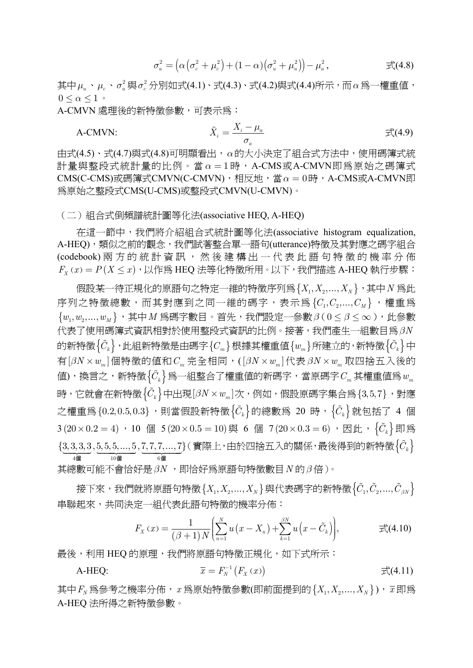$$
\sigma_a^2 = \left(\alpha \left(\sigma_c^2 + \mu_c^2\right) + (1 - \alpha) \left(\sigma_u^2 + \mu_u^2\right)\right) - \mu_a^2, \qquad \qquad \mathbb{E}(4.8)
$$

其中μ<sub>u</sub>、μ<sub>c</sub>、σ<sup>2</sup>與σ<sup>2</sup>分別如式(4.1)、式(4.3)、式(4.2)與式(4.4)所示,而α為一權重值,  $0 \leq \alpha \leq 1$ 

A-CMVN 處理後的新特徵參數,可表示為:

A-CMVN: *i a*

$$
\tilde{X}_i = \frac{X_i - \mu_a}{\sigma_a} \tag{4.9}
$$

由式(4.5)、式(4.7)與式(4.8)可明顯看出,*α*的大小決定了組合式方法中,使用碼簿式統 計量與整段式統計量的比例。當  $\alpha = 1$ 時, A-CMS或A-CMVN即為原始之碼簿式 CMS(C-CMS)或碼簿式CMVN(C-CMVN),相反地,當α=0時,A-CMS或A-CMVN即 為原始之整段式CMS(U-CMS)或整段式CMVN(U-CMVN)。

(二)組合式倒頻譜統計圖等化法(associative HEQ, A-HEQ)

 在這一節中,我們將介紹組合式統計圖等化法(associative histogram equalization, A-HEQ),類似之前的觀念,我們試著整合單一語句(utterance)特徵及其對應之碼字組合 (codebook) 兩方的統計資訊,然後建構出一代表此語句特徵的機率分佈  $F_X(x) = P(X \leq x)$ , 以作爲 HEQ 法等化特徵所用。以下, 我們描述 A-HEQ 執行步驟:

假設某一待正規化的原語句之特定一維的特徵序列為 $\{X_1, X_2, ..., X_N\}$ , 其中 $N$ 為此 序列之特徵總數,而其對應到之同一維的碼字,表示為 ${C_1, C_2, ..., C_M}$ ,權重爲  ${w_1, w_2, ..., w_M}$ , 其中*M* 爲碼字數目。首先, 我們設定一參數 β(0 ≤ β ≤ ∞), 此參數 代表了使用碼簿式資訊相對於使用整段式資訊的比例。接著,我們產生一組數目為*βN* 的新特徵 $\{\tilde{C}_k\}$ ,此組新特徵是由碼字 $\{C_m\}$ 根據其權重值 $\{w_m\}$ 所建立的,新特徵 $\{\tilde{C}_k\}$ 中 有[ ] *βN w* × *<sup>m</sup>* 個特徵的值和*Cm* 完全相同,([ ] *βN w* × *<sup>m</sup>* 代表 *βN w* × *<sup>m</sup>* 取四捨五入後的  $\langle \hat{\mathbf{g}} \rangle$ , 換言之, 新特徵 $\{\tilde{C}_k\}$ 爲一組整合了權重值的新碼字,當原碼字 $C_m$ 其權重值爲 $w_m$ 時,它就會在新特徵 $\left\{ \tilde{C}_k \right\}$ 中出現 $[\beta N \times w_m ]$ 次,例如,假設原碼字集合爲 $\left\{ 3,5,7 \right\}$ ,對應 之權重爲 ${0.2, 0.5, 0.3}$ ,則當假設新特徵 ${\{\tilde{C}_k\}}$ 的總數爲 20 時, ${\{\tilde{C}_k\}}$ 就包括了 4 個 3 (20×0.2 = 4) · 10 個 5 (20×0.5 = 10) 與 6 個 7 (20×0.3 = 6) · 因此,  $\{\tilde{C}_k\}$ 即為  $\{\underbrace{3, 3, 3, 3}_{4\text{ }}\,\underset{10\text{ }\text{dB}}{5, 5, 5, \ldots, 5}, \underbrace{7, 7, 7, \ldots, 7}_{6\text{ }\text{dB}}\}$  $\{(\widehat{\mathbf{g}}_k) \in \mathbb{R}^d\}$ (實際上,由於四捨五入的關係,最後得到的新特徵 $\{\tilde{C}_k\}$ 其總數可能不會恰好是*βN* ,即恰好為原語句特徵數目*N* 的*β* 倍)。

接下來,我們就將原語句特徵 $\{X_1, X_2, ..., X_N\}$ 與代表碼字的新特徵 $\{\tilde{C}_1, \tilde{C}_2, ..., \tilde{C}_{\beta N}\}$ 串聯起來,共同決定一組代表此語句特徵的機率分佈:

$$
F_X(x) = \frac{1}{(\beta + 1)N} \left( \sum_{n=1}^N u(x - X_n) + \sum_{k=1}^{\beta N} u(x - \tilde{C}_k) \right), \qquad \qquad \text{F}(4.10)
$$

最後,利用 HEO 的原理,我們將原語句特徵正規化,如下式所示:

A-HEQ: 
$$
\overline{x} = F_N^{-1}(F_X(x)) \qquad \qquad \overrightarrow{\mathbb{F}}(4.11)
$$

其中 $F_N$ 爲參考之機率分佈,  $x$ 爲原始特徵參數(即前面提到的 $\{X_1, X_2, \ldots, X_N\}$ ),  $\bar{x}$ 即爲 A-HEQ 法所得之新特徵參數。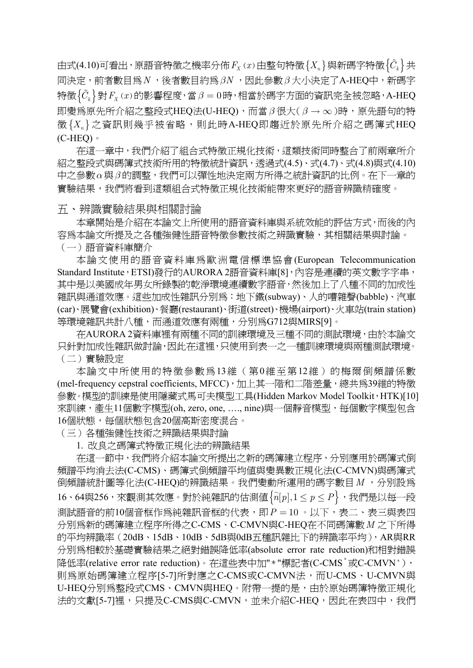由式(4.10)可看出,原語音特徵之機率分佈  $F_X(x)$ 由整句特徵  $\{X_n\}$ 與新碼字特徵 $\{\tilde{C}_k\}$ 共 同決定,前者數目為*N* ,後者數目約為*βN* ,因此參數*β* 大小決定了A-HEQ中,新碼字  $\left\{\tilde{C}_k\right\}$ 對  $F_X(x)$ 的影響程度,當β = 0時,相當於碼字方面的資訊完全被忽略, A-HEQ 即變為原先所介紹之整段式HEQ法(U-HEQ),而當*β* 很大( *β* → ∞)時,原先語句的特  $\mathcal{B}\{X_n\}$ 之資訊則幾乎被省略,則此時A-HEQ即趨近於原先所介紹之碼簿式HEQ  $(C-HEO)$ 

 在這一章中,我們介紹了組合式特徵正規化技術,這類技術同時整合了前兩章所介 紹之整段式與碼簿式技術所用的特徵統計資訊,透過式(4.5)、式(4.7)、式(4.8)與式(4.10) 中之參數*α*與*β* 的調整,我們可以彈性地決定兩方所得之統計資訊的比例。在下一章的 實驗結果,我們將看到這類組合式特徵正規化技術能帶來更好的語音辨識精確度。

#### 五、辨識實驗結果與相關討論

 本章開始是介紹在本論文上所使用的語音資料庫與系統效能的評估方式,而後的內 容為本論文所提及之各種強健性語音特徵參數技術之辨識實驗,其相關結果與討論。 (一)語音資料庫簡介

 本論文使用的語音資料庫為歐洲電信標準協會(European Telecommunication Standard Institute,ETSI)發行的AURORA 2語音資料庫[8],內容是連續的英文數字字串, 其中是以美國成年男女所錄製的乾淨環境連續數字語音,然後加上了八種不同的加成性 雜訊與通道效應。這些加成性雜訊分別為:地下鐵(subway)、人的嘈雜聲(babble)、汽車 (car)、展覽會(exhibition)、餐廳(restaurant)、街道(street)、機場(airport)、火車站(train station) 等環境雜訊共計八種,而通道效應有兩種,分別為G712與MIRS[9]。

 在AURORA 2資料庫裡有兩種不同的訓練環境及三種不同的測試環境,由於本論文 只針對加成性雜訊做討論,因此在這裡,只使用到表一之一種訓練環境與兩種測試環境。 (二)實驗設定

 本論文中所使用的特徵參數為13維(第0維至第12維)的梅爾倒頻譜係數 (mel-frequency cepstral coefficients, MFCC), 加上其一階和二階差量, 總共爲39維的特徵 參數。模型的訓練是使用隱藏式馬可夫模型工具(Hidden Markov Model Toolkit, HTK)[10] 來訓練,產生11個數字模型(oh, zero, one, …., nine)與一個靜音模型,每個數字模型包含 16個狀態,每個狀態包含20個高斯密度混合。

(三)各種強健性技術之辨識結果與討論

1. 改良之碼簿式特徵正規化法的辨識結果

在這一節中,我們將介紹本論文所提出之新的碼簿建立程序,分別應用於碼簿式倒 頻譜平均消去法(C-CMS)、碼簿式倒頻譜平均值與變異數正規化法(C-CMVN)與碼簿式 倒頻譜統計圖等化法(C-HEQ)的辨識結果。我們變動所運用的碼字數目  $M$ , 分別設為  $16 \cdot 64$ 與 $256$ ,來觀測其效應。對於純雜訊的估測値 $\{\tilde{n}[p], 1 \leq p \leq P\}$ ,我們是以每一段 測試語音的前10個音框作爲純雜訊音框的代表,即 P = 10。以下,表二、表三與表四 分別為新的碼簿建立程序所得之C-CMS、C-CMVN與C-HEQ在不同碼簿數*M* 之下所得 的平均辨識率(20dB、15dB、10dB、5dB與0dB五種訊雜比下的辨識率平均),AR與RR 分別為相較於基礎實驗結果之絕對錯誤降低率(absolute error rate reduction)和相對錯誤 降低率(relative error rate reduction)。在這些表中加"\*"標記者(C-CMS\*或C-CMVN\*), 則為原始碼簿建立程序[5-7]所對應之C-CMS或C-CMVN法,而U-CMS、U-CMVN與 U-HEQ分別為整段式CMS、CMVN與HEQ。附帶一提的是,由於原始碼簿特徵正規化 法的文獻[5-7]裡,只提及C-CMS與C-CMVN,並未介紹C-HEQ,因此在表四中,我們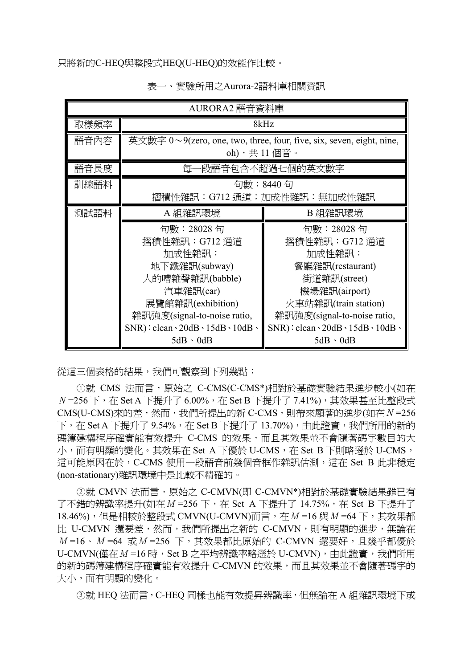只將新的C-HEQ與整段式HEQ(U-HEQ)的效能作比較。

| AURORA2 語音資料庫 |                                                                                                                                                                                                                                                                                                                                                                                                  |                                                                                                                                                                                                                                       |  |  |  |
|---------------|--------------------------------------------------------------------------------------------------------------------------------------------------------------------------------------------------------------------------------------------------------------------------------------------------------------------------------------------------------------------------------------------------|---------------------------------------------------------------------------------------------------------------------------------------------------------------------------------------------------------------------------------------|--|--|--|
| 取樣頻率          | 8kHz                                                                                                                                                                                                                                                                                                                                                                                             |                                                                                                                                                                                                                                       |  |  |  |
| 語音內容          |                                                                                                                                                                                                                                                                                                                                                                                                  | 英文數字 0~9(zero, one, two, three, four, five, six, seven, eight, nine,<br>oh),共 11 個音。                                                                                                                                                  |  |  |  |
| 語音長度          | 每                                                                                                                                                                                                                                                                                                                                                                                                | ·段語音包含不超過七個的英文數字                                                                                                                                                                                                                      |  |  |  |
| 訓練語料          | 句數:8440 句<br>摺積性雜訊:G712 通道;加成性雜訊:無加成性雜訊                                                                                                                                                                                                                                                                                                                                                          |                                                                                                                                                                                                                                       |  |  |  |
| 測試語料          | A 組雜訊環境                                                                                                                                                                                                                                                                                                                                                                                          | B 組雜訊環境                                                                                                                                                                                                                               |  |  |  |
|               | 句數:28028 句<br>摺積性雜訊:G712 通道<br>加成性雜訊:<br>地下鐵雜訊(subway)<br>人的嘈雜聲雜訊(babble)<br>汽車雜訊(car)<br>展覽館雜訊(exhibition)<br>雜訊強度(signal-to-noise ratio,<br>$SNR$ : clean \can 20dB \cddB \cddB \cddB \cddB \cddB \cddB \cddB \cddB \cddB \cddB \cddB \cddB \cddB \cddB \cddB \cddB \cddB \cddB \cddB \cddB \cddB \cddB \cddB \cddB \cddB \cddB \cddB \cddB \cddB \cddB \cddB \cddB \cddB \<br>$5dB \cdot 0dB$ | 句數:28028 句<br>摺積性雜訊: G712 通道<br>加成性雜訊:<br>餐廳雜訊(restaurant)<br>街道雜訊(street)<br>機場雜訊(airport)<br>火車站雜訊(train station)<br>雜訊強度(signal-to-noise ratio,<br>$SNR$ : clean $\cdot$ 20dB $\cdot$ 15dB $\cdot$ 10dB $\cdot$<br>$5dB \cdot 0dB$ |  |  |  |

表一、實驗所用之Aurora-2語料庫相關資訊

從這三個表格的結果,我們可觀察到下列幾點:

①就 CMS 法而言,原始之 C-CMS(C-CMS\*)相對於基礎實驗結果進步較小(如在 *N* =256 下,在 Set A 下提升了 6.00%,在 Set B 下提升了 7.41%),其效果甚至比整段式 CMS(U-CMS)來的差,然而,我們所提出的新 C-CMS,則帶來顯著的進步(如在*N* =256 下,在 Set A 下提升了 9.54%,在 Set B 下提升了 13.70%),由此證實,我們所用的新的 碼簿建構程序確實能有效提升 C-CMS 的效果,而且其效果並不會隨著碼字數目的大 小,而有明顯的變化。其效果在 Set A 下優於 U-CMS,在 Set B 下則略遜於 U-CMS, 這可能原因在於,C-CMS 使用一段語音前幾個音框作雜訊估測,這在 Set B 此非穩定 (non-stationary)雜訊環境中是比較不精確的。

 ○<sup>2</sup> 就 CMVN 法而言,原始之 C-CMVN(即 C-CMVN\*)相對於基礎實驗結果雖已有 了不錯的辨識率提升(如在 M =256 下, 在 Set A 下提升了 14.75%, 在 Set B 下提升了 18.46%),但是相較於整段式 CMVN(U-CMVN)而言,在*M* =16 與*M* =64 下,其效果都 比 U-CMVN 還要差,然而,我們所提出之新的 C-CMVN,則有明顯的進步,無論在 *M* =16、*M* =64 或*M* =256 下,其效果都比原始的 C-CMVN 還要好,且幾乎都優於 U-CMVN(僅在 M =16 時, Set B 之平均辨識率略遜於 U-CMVN), 由此證實, 我們所用 的新的碼簿建構程序確實能有效提升 C-CMVN 的效果,而且其效果並不會隨著碼字的 大小,而有明顯的變化。

○<sup>3</sup> 就 HEQ 法而言,C-HEQ 同樣也能有效提昇辨識率,但無論在 A 組雜訊環境下或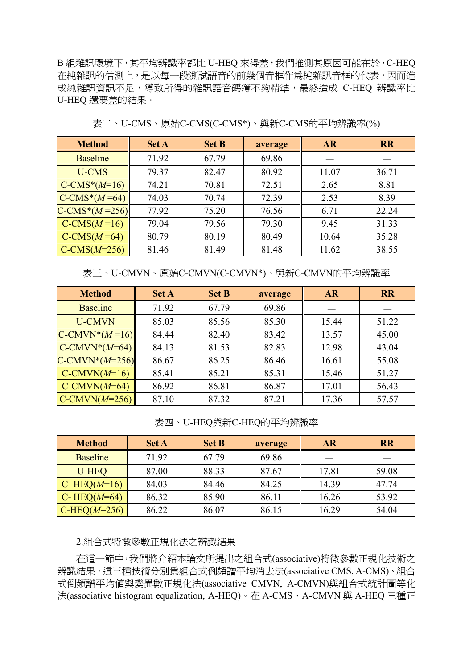B 組雜訊環境下,其平均辨識率都比 U-HEQ 來得差,我們推測其原因可能在於,C-HEQ 在純雜訊的估測上,是以每一段測試語音的前幾個音框作為純雜訊音框的代表,因而造 成純雜訊資訊不足,導致所得的雜訊語音碼簿不夠精準,最終造成 C-HEQ 辨識率比 U-HEQ 還要差的結果。

| <b>Method</b>   | <b>Set A</b> | <b>Set B</b> | average | <b>AR</b> | <b>RR</b> |
|-----------------|--------------|--------------|---------|-----------|-----------|
| <b>Baseline</b> | 71.92        | 67.79        | 69.86   |           |           |
| <b>U-CMS</b>    | 79.37        | 82.47        | 80.92   | 11.07     | 36.71     |
| $C-CMS*(M=16)$  | 74.21        | 70.81        | 72.51   | 2.65      | 8.81      |
| $C-CMS*(M=64)$  | 74.03        | 70.74        | 72.39   | 2.53      | 8.39      |
| $C-CMS*(M=256)$ | 77.92        | 75.20        | 76.56   | 6.71      | 22.24     |
| $C-CMS(M=16)$   | 79.04        | 79.56        | 79.30   | 9.45      | 31.33     |
| $C-CMS(M=64)$   | 80.79        | 80.19        | 80.49   | 10.64     | 35.28     |
| $C-CMS(M=256)$  | 81.46        | 81.49        | 81.48   | 11.62     | 38.55     |

表二、U-CMS、原始C-CMS(C-CMS\*)、與新C-CMS的平均辨識率(%)

表三、U-CMVN、原始C-CMVN(C-CMVN\*)、與新C-CMVN的平均辨識率

| <b>Method</b>    | <b>Set A</b> | <b>Set B</b> | average | <b>AR</b> | <b>RR</b> |
|------------------|--------------|--------------|---------|-----------|-----------|
| <b>Baseline</b>  | 71.92        | 67.79        | 69.86   |           |           |
| <b>U-CMVN</b>    | 85.03        | 85.56        | 85.30   | 15.44     | 51.22     |
| $C-CMVN*(M=16)$  | 84.44        | 82.40        | 83.42   | 13.57     | 45.00     |
| $C-CMVN*(M=64)$  | 84.13        | 81.53        | 82.83   | 12.98     | 43.04     |
| $C-CMVN*(M=256)$ | 86.67        | 86.25        | 86.46   | 16.61     | 55.08     |
| $C-CMVN(M=16)$   | 85.41        | 85.21        | 85.31   | 15.46     | 51.27     |
| $C-CMVN(M=64)$   | 86.92        | 86.81        | 86.87   | 17.01     | 56.43     |
| $C-CMVN(M=256)$  | 87.10        | 87.32        | 87.21   | 17.36     | 57.57     |

表四、U-HEQ與新C-HEQ的平均辨識率

| <b>Method</b>    | <b>Set A</b> | <b>Set B</b> | average | <b>AR</b> | <b>RR</b> |
|------------------|--------------|--------------|---------|-----------|-----------|
| <b>Baseline</b>  | 71.92        | 67.79        | 69.86   |           |           |
| U-HEQ            | 87.00        | 88.33        | 87.67   | 17.81     | 59.08     |
| C- HEQ( $M=16$ ) | 84.03        | 84.46        | 84.25   | 14.39     | 47.74     |
| C-HEQ $(M=64)$   | 86.32        | 85.90        | 86.11   | 16.26     | 53.92     |
| $C-HEQ(M=256)$   | 86.22        | 86.07        | 86.15   | 16.29     | 54.04     |

2.組合式特徵參數正規化法之辨識結果

在這一節中,我們將介紹本論文所提出之組合式(associative)特徵參數正規化技術之 辨識結果,這三種技術分別為組合式倒頻譜平均消去法(associative CMS, A-CMS)、組合 式倒頻譜平均值與變異數正規化法(associative CMVN, A-CMVN)與組合式統計圖等化 法(associative histogram equalization, A-HEQ)。在 A-CMS、A-CMVN 與 A-HEQ 三種正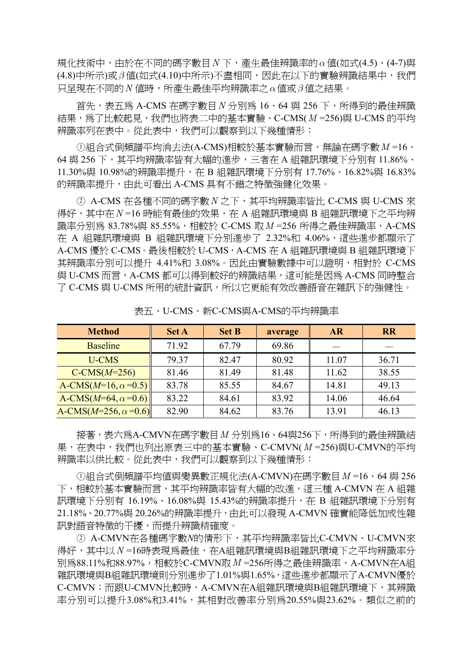規化技術中,由於在不同的碼字數目*N* 下,產生最佳辨識率的*α*值(如式(4.5)、(4-7)與 (4.8)中所示)或*β* 值(如式(4.10)中所示)不盡相同,因此在以下的實驗辨識結果中,我們 只呈現在不同的*N* 值時,所產生最佳平均辨識率之*α*值或*β* 值之結果。

首先,表五為 A-CMS 在碼字數目*N* 分別為 16、64 與 256 下,所得到的最佳辨識 結果,為了比較起見,我們也將表二中的基本實驗、C-CMS( $M = 256$ )與 U-CMS 的平均 辨識率列在表中。從此表中,我們可以觀察到以下幾種情形:

①組合式倒頻譜平均消去法(A-CMS)相較於基本實驗而言,無論在碼字數 M =16、 64 與 256 下,其平均辨識率皆有大幅的進步,三者在 A 組雜訊環境下分別有 11.86%、 11.30%與 10.98%的辨識率提升,在 B 組雜訊環境下分別有 17.76%、16.82%與 16.83% 的辨識率提升,由此可看出 A-CMS 具有不錯之特徵強健化效果。

○2 A-CMS 在各種不同的碼字數*N* 之下,其平均辨識率皆比 C-CMS 與 U-CMS 來 得好,其中在N=16 時能有最佳的效果, 在 A 組雜訊環境與 B 組雜訊環境下之平均辨 識率分別為 83.78%與 85.55%,相較於 C-CMS 取 M =256 所得之最佳辨識率, A-CMS 在 A 組雜訊環境與 B 組雜訊環境下分別進步了 2.32%和 4.06%,這些進步都顯示了 A-CMS 優於 C-CMS。最後相較於 U-CMS, A-CMS 在 A 組雜訊環境與 B 組雜訊環境下 其辨識率分別可以提升 4.41%和 3.08%。因此由實驗數據中可以證明,相對於 C-CMS 與 U-CMS 而言,A-CMS 都可以得到較好的辨識結果,這可能是因為 A-CMS 同時整合 了 C-CMS 與 U-CMS 所用的統計資訊,所以它更能有效改善語音在雜訊下的強健性。

| <b>Method</b>                   | <b>Set A</b> | <b>Set B</b> | average | <b>AR</b> | <b>RR</b> |
|---------------------------------|--------------|--------------|---------|-----------|-----------|
| <b>Baseline</b>                 | 71.92        | 67.79        | 69.86   |           |           |
| <b>U-CMS</b>                    | 79.37        | 82.47        | 80.92   | 11.07     | 36.71     |
| $C-CMS(M=256)$                  | 81.46        | 81.49        | 81.48   | 11.62     | 38.55     |
| A-CMS( $M=16$ , $\alpha=0.5$ )  | 83.78        | 85.55        | 84.67   | 14.81     | 49.13     |
| A-CMS( $M=64$ , $\alpha=0.6$ )  | 83.22        | 84.61        | 83.92   | 14.06     | 46.64     |
| A-CMS( $M=256$ , $\alpha=0.6$ ) | 82.90        | 84.62        | 83.76   | 13.91     | 46.13     |

表五、U-CMS、新C-CMS與A-CMS的平均辨識率

接著,表六為A-CMVN在碼字數目*M* 分別為16、64與256下,所得到的最佳辨識結 果,在表中,我們也列出原表三中的基本實驗、C-CMVN(*M* =256)與U-CMVN的平均 辨識率以供比較。從此表中,我們可以觀察到以下幾種情形:

 ○<sup>1</sup> 組合式倒頻譜平均值與變異數正規化法(A-CMVN)在碼字數目*M* =16、64 與 256 下,相較於基本實驗而言,其平均辨識率皆有大幅的改進,這三種 A-CMVN 在 A 組雜 訊環境下分別有 16.19%、16.08%與 15.43%的辨識率提升,在 B 組雜訊環境下分別有 21.18%、20.77%與 20.26%的辨識率提升,由此可以發現 A-CMVN 確實能降低加成性雜 訊對語音特徵的干擾,而提升辨識精確度。

 ○2 A-CMVN在各種碼字數*N*的情形下,其平均辨識率皆比C-CMVN、U-CMVN來 得好,其中以N=16時表現為最佳,在A組雜訊環境與B組雜訊環境下之平均辨識率分 別為88.11%和88.97%,相較於C-CMVN取*M* =256所得之最佳辨識率,A-CMVN在A組 雜訊環境與B組雜訊環境則分別進步了1.01%與1.65%,這些進步都顯示了A-CMVN優於 C-CMVN;而跟U-CMVN比較時,A-CMVN在A組雜訊環境與B組雜訊環境下,其辨識 率分別可以提升3.08%和3.41%,其相對改善率分別為20.55%與23.62%。類似之前的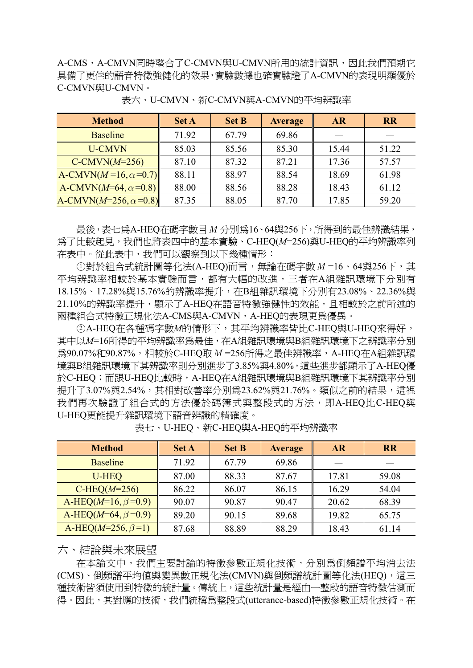A-CMS,A-CMVN同時整合了C-CMVN與U-CMVN所用的統計資訊,因此我們預期它 具備了更佳的語音特徵強健化的效果,實驗數據也確實驗證了A-CMVN的表現明顯優於 C-CMVN與U-CMVN。

| <b>Method</b>                      | <b>Set A</b> | <b>Set B</b> | <b>Average</b> | <b>AR</b> | <b>RR</b> |
|------------------------------------|--------------|--------------|----------------|-----------|-----------|
| <b>Baseline</b>                    | 71.92        | 67.79        | 69.86          |           |           |
| <b>U-CMVN</b>                      | 85.03        | 85.56        | 85.30          | 15.44     | 51.22     |
| $C-CMVN(M=256)$                    | 87.10        | 87.32        | 87.21          | 17.36     | 57.57     |
| A-CMVN( $M=16$ , $\alpha=0.7$ )    | 88.11        | 88.97        | 88.54          | 18.69     | 61.98     |
| A-CMVN( $M=64$ , $\alpha=0.8$ )    | 88.00        | 88.56        | 88.28          | 18.43     | 61.12     |
| A-CMVN( $M=256$ , $\alpha = 0.8$ ) | 87.35        | 88.05        | 87.70          | 17.85     | 59.20     |

表六、U-CMVN、新C-CMVN與A-CMVN的平均辨識率

最後,表七為A-HEQ在碼字數目*M* 分別為16、64與256下,所得到的最佳辨識結果, 為了比較起見,我們也將表四中的基本實驗、C-HEQ(*M*=256)與U-HEQ的平均辨識率列 在表中。從此表中,我們可以觀察到以下幾種情形:

○<sup>1</sup> 對於組合式統計圖等化法(A-HEQ)而言,無論在碼字數*M* =16、64與256下,其 平均辨識率相較於基本實驗而言,都有大幅的改進,三者在A組雜訊環境下分別有 18.15%、17.28%與15.76%的辨識率提升, 在B組雜訊環境下分別有23.08%、22.36%與 21.10%的辨識率提升,顯示了A-HEQ在語音特徵強健性的效能,且相較於之前所述的 兩種組合式特徵正規化法A-CMS與A-CMVN,A-HEQ的表現更為優異。

 ○<sup>2</sup> A-HEQ在各種碼字數*M*的情形下,其平均辨識率皆比C-HEQ與U-HEQ來得好, 其中以M=16所得的平均辨識率為最佳,存A組雜訊環境與B組雜訊環境下之辨識率分別 為90.07%和90.87%,相較於C-HEQ取*M* =256所得之最佳辨識率,A-HEQ在A組雜訊環 境與B組雜訊環境下其辨識率則分別進步了3.85%與4.80%,這些進步都顯示了A-HEQ優 於C-HEQ;而跟U-HEQ比較時,A-HEQ在A組雜訊環境與B組雜訊環境下其辨識率分別 提升了3.07%與2.54%,其相對改善率分別為23.62%與21.76%。類似之前的結果,這裡 我們再次驗證了組合式的方法優於碼簿式與整段式的方法, 即A-HEQ比C-HEQ與 U-HEQ更能提升雜訊環境下語音辨識的精確度。

| <b>Method</b>              | <b>Set A</b> | <b>Set B</b> | <b>Average</b> | <b>AR</b> | <b>RR</b> |
|----------------------------|--------------|--------------|----------------|-----------|-----------|
| <b>Baseline</b>            | 71.92        | 67.79        | 69.86          |           |           |
| U-HEQ                      | 87.00        | 88.33        | 87.67          | 17.81     | 59.08     |
| $CHEQ(M=256)$              | 86.22        | 86.07        | 86.15          | 16.29     | 54.04     |
| A-HEQ( $M=16, \beta=0.9$ ) | 90.07        | 90.87        | 90.47          | 20.62     | 68.39     |
| A-HEQ( $M=64, \beta=0.9$ ) | 89.20        | 90.15        | 89.68          | 19.82     | 65.75     |
| A-HEQ( $M=256, \beta=1$ )  | 87.68        | 88.89        | 88.29          | 18.43     | 61.14     |

表七、U-HEQ、新C-HEQ與A-HEQ的平均辨識率

## 六、結論與未來展望

在本論文中,我們主要討論的特徵參數正規化技術,分別為倒頻譜平均消去法 (CMS)、倒頻譜平均値與變異數正規化法(CMVN)與倒頻譜統計圖等化法(HEQ),這三 種技術皆須使用到特徵的統計量。傳統上,這些統計量是經由一整段的語音特徵估測而 得。因此,其對應的技術,我們統稱為整段式(utterance-based)特徵參數正規化技術。在